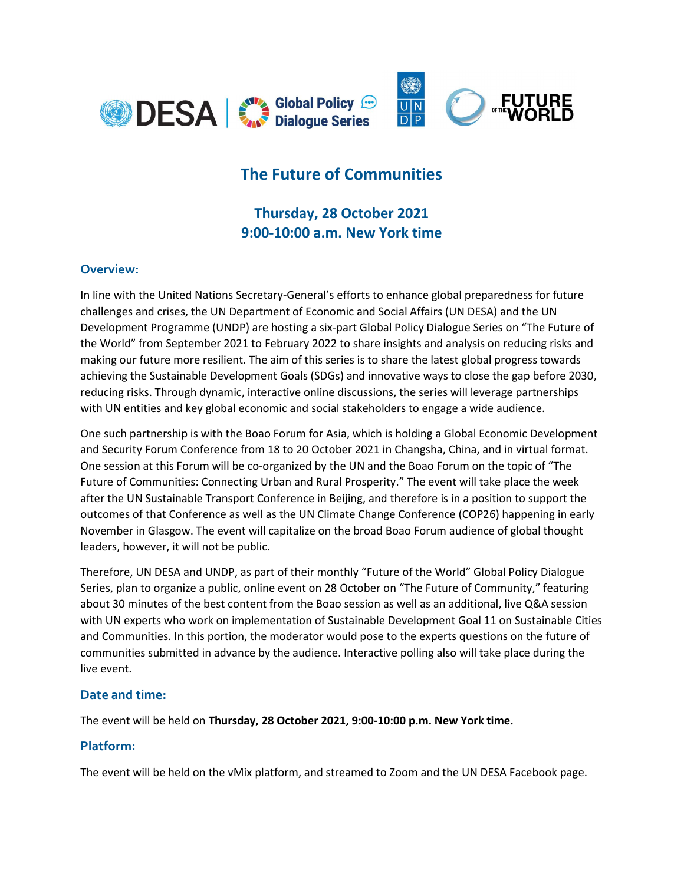

# The Future of Communities

## Thursday, 28 October 2021 9:00-10:00 a.m. New York time

#### Overview:

In line with the United Nations Secretary-General's efforts to enhance global preparedness for future challenges and crises, the UN Department of Economic and Social Affairs (UN DESA) and the UN Development Programme (UNDP) are hosting a six-part Global Policy Dialogue Series on "The Future of the World" from September 2021 to February 2022 to share insights and analysis on reducing risks and making our future more resilient. The aim of this series is to share the latest global progress towards achieving the Sustainable Development Goals (SDGs) and innovative ways to close the gap before 2030, reducing risks. Through dynamic, interactive online discussions, the series will leverage partnerships with UN entities and key global economic and social stakeholders to engage a wide audience.

One such partnership is with the Boao Forum for Asia, which is holding a Global Economic Development and Security Forum Conference from 18 to 20 October 2021 in Changsha, China, and in virtual format. One session at this Forum will be co-organized by the UN and the Boao Forum on the topic of "The Future of Communities: Connecting Urban and Rural Prosperity." The event will take place the week after the UN Sustainable Transport Conference in Beijing, and therefore is in a position to support the outcomes of that Conference as well as the UN Climate Change Conference (COP26) happening in early November in Glasgow. The event will capitalize on the broad Boao Forum audience of global thought leaders, however, it will not be public.

Therefore, UN DESA and UNDP, as part of their monthly "Future of the World" Global Policy Dialogue Series, plan to organize a public, online event on 28 October on "The Future of Community," featuring about 30 minutes of the best content from the Boao session as well as an additional, live Q&A session with UN experts who work on implementation of Sustainable Development Goal 11 on Sustainable Cities and Communities. In this portion, the moderator would pose to the experts questions on the future of communities submitted in advance by the audience. Interactive polling also will take place during the live event.

#### Date and time:

The event will be held on Thursday, 28 October 2021, 9:00-10:00 p.m. New York time.

#### Platform:

The event will be held on the vMix platform, and streamed to Zoom and the UN DESA Facebook page.